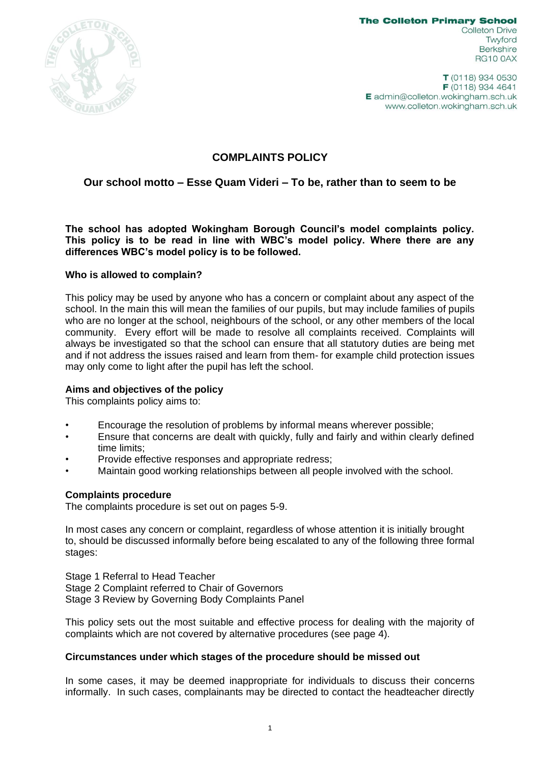

**The Colleton Primary School Colleton Drive** Twyford **Berkshire RG10 0AX** 

T (0118) 934 0530 F (0118) 934 4641  $E$  admin@colleton.wokingham.sch.uk www.colleton.wokingham.sch.uk

# **COMPLAINTS POLICY**

# **Our school motto – Esse Quam Videri – To be, rather than to seem to be**

**The school has adopted Wokingham Borough Council's model complaints policy. This policy is to be read in line with WBC's model policy. Where there are any differences WBC's model policy is to be followed.**

## **Who is allowed to complain?**

This policy may be used by anyone who has a concern or complaint about any aspect of the school. In the main this will mean the families of our pupils, but may include families of pupils who are no longer at the school, neighbours of the school, or any other members of the local community. Every effort will be made to resolve all complaints received. Complaints will always be investigated so that the school can ensure that all statutory duties are being met and if not address the issues raised and learn from them- for example child protection issues may only come to light after the pupil has left the school.

## **Aims and objectives of the policy**

This complaints policy aims to:

- Encourage the resolution of problems by informal means wherever possible;
- Ensure that concerns are dealt with quickly, fully and fairly and within clearly defined time limits;
- Provide effective responses and appropriate redress;
- Maintain good working relationships between all people involved with the school.

## **Complaints procedure**

The complaints procedure is set out on pages 5-9.

In most cases any concern or complaint, regardless of whose attention it is initially brought to, should be discussed informally before being escalated to any of the following three formal stages:

Stage 1 Referral to Head Teacher Stage 2 Complaint referred to Chair of Governors Stage 3 Review by Governing Body Complaints Panel

This policy sets out the most suitable and effective process for dealing with the majority of complaints which are not covered by alternative procedures (see page 4).

## **Circumstances under which stages of the procedure should be missed out**

In some cases, it may be deemed inappropriate for individuals to discuss their concerns informally. In such cases, complainants may be directed to contact the headteacher directly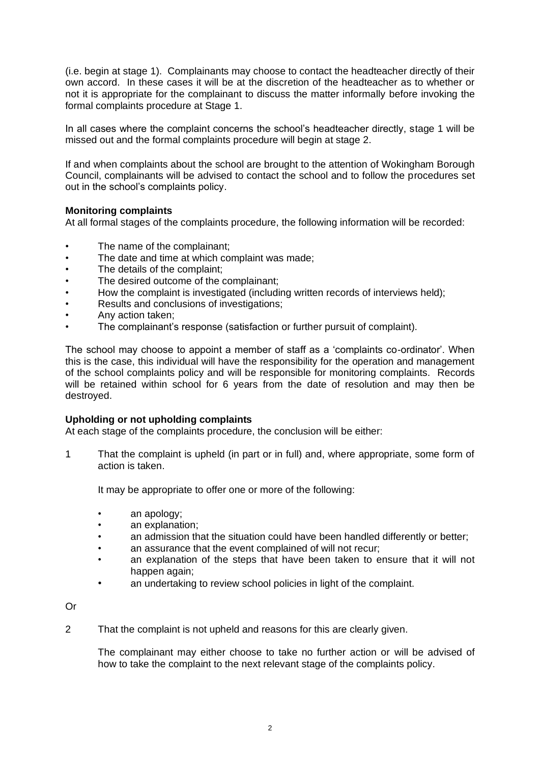(i.e. begin at stage 1). Complainants may choose to contact the headteacher directly of their own accord. In these cases it will be at the discretion of the headteacher as to whether or not it is appropriate for the complainant to discuss the matter informally before invoking the formal complaints procedure at Stage 1.

In all cases where the complaint concerns the school's headteacher directly, stage 1 will be missed out and the formal complaints procedure will begin at stage 2.

If and when complaints about the school are brought to the attention of Wokingham Borough Council, complainants will be advised to contact the school and to follow the procedures set out in the school's complaints policy.

## **Monitoring complaints**

At all formal stages of the complaints procedure, the following information will be recorded:

- The name of the complainant:
- The date and time at which complaint was made;
- The details of the complaint;
- The desired outcome of the complainant;
- How the complaint is investigated (including written records of interviews held);
- Results and conclusions of investigations;
- Any action taken;
- The complainant's response (satisfaction or further pursuit of complaint).

The school may choose to appoint a member of staff as a 'complaints co-ordinator'. When this is the case, this individual will have the responsibility for the operation and management of the school complaints policy and will be responsible for monitoring complaints. Records will be retained within school for 6 years from the date of resolution and may then be destroyed.

## **Upholding or not upholding complaints**

At each stage of the complaints procedure, the conclusion will be either:

1 That the complaint is upheld (in part or in full) and, where appropriate, some form of action is taken.

It may be appropriate to offer one or more of the following:

- an apology;
- an explanation:
- an admission that the situation could have been handled differently or better;
- an assurance that the event complained of will not recur;
- an explanation of the steps that have been taken to ensure that it will not happen again;
- an undertaking to review school policies in light of the complaint.

Or

2 That the complaint is not upheld and reasons for this are clearly given.

The complainant may either choose to take no further action or will be advised of how to take the complaint to the next relevant stage of the complaints policy.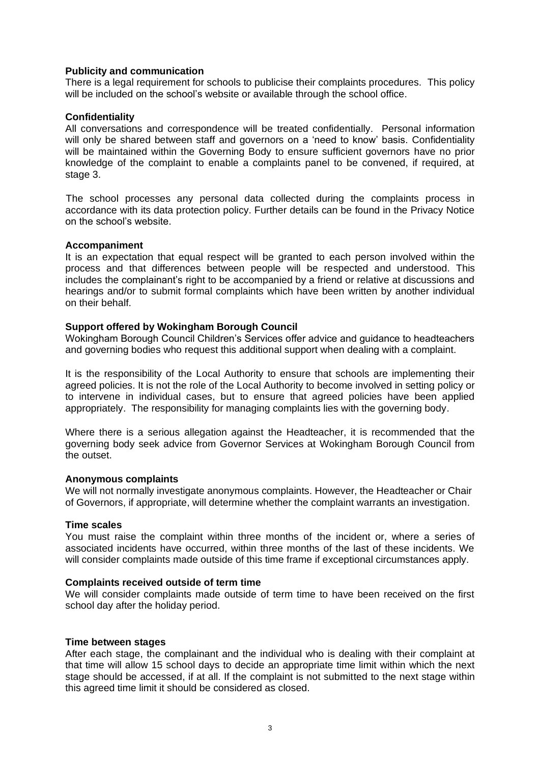## **Publicity and communication**

There is a legal requirement for schools to publicise their complaints procedures. This policy will be included on the school's website or available through the school office.

## **Confidentiality**

All conversations and correspondence will be treated confidentially. Personal information will only be shared between staff and governors on a 'need to know' basis. Confidentiality will be maintained within the Governing Body to ensure sufficient governors have no prior knowledge of the complaint to enable a complaints panel to be convened, if required, at stage 3.

The school processes any personal data collected during the complaints process in accordance with its data protection policy. Further details can be found in the Privacy Notice on the school's website.

## **Accompaniment**

It is an expectation that equal respect will be granted to each person involved within the process and that differences between people will be respected and understood. This includes the complainant's right to be accompanied by a friend or relative at discussions and hearings and/or to submit formal complaints which have been written by another individual on their behalf.

## **Support offered by Wokingham Borough Council**

Wokingham Borough Council Children's Services offer advice and guidance to headteachers and governing bodies who request this additional support when dealing with a complaint.

It is the responsibility of the Local Authority to ensure that schools are implementing their agreed policies. It is not the role of the Local Authority to become involved in setting policy or to intervene in individual cases, but to ensure that agreed policies have been applied appropriately. The responsibility for managing complaints lies with the governing body.

Where there is a serious allegation against the Headteacher, it is recommended that the governing body seek advice from Governor Services at Wokingham Borough Council from the outset.

## **Anonymous complaints**

We will not normally investigate anonymous complaints. However, the Headteacher or Chair of Governors, if appropriate, will determine whether the complaint warrants an investigation.

## **Time scales**

You must raise the complaint within three months of the incident or, where a series of associated incidents have occurred, within three months of the last of these incidents. We will consider complaints made outside of this time frame if exceptional circumstances apply.

## **Complaints received outside of term time**

We will consider complaints made outside of term time to have been received on the first school day after the holiday period.

## **Time between stages**

After each stage, the complainant and the individual who is dealing with their complaint at that time will allow 15 school days to decide an appropriate time limit within which the next stage should be accessed, if at all. If the complaint is not submitted to the next stage within this agreed time limit it should be considered as closed.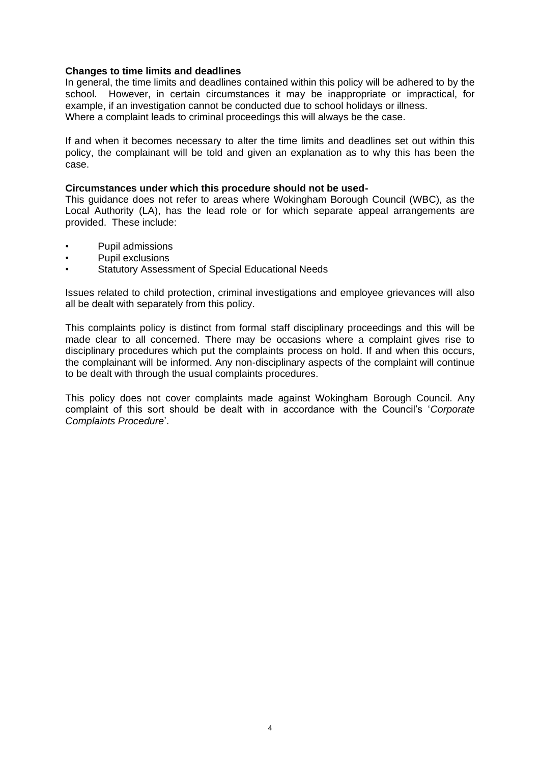## **Changes to time limits and deadlines**

In general, the time limits and deadlines contained within this policy will be adhered to by the school. However, in certain circumstances it may be inappropriate or impractical, for example, if an investigation cannot be conducted due to school holidays or illness. Where a complaint leads to criminal proceedings this will always be the case.

If and when it becomes necessary to alter the time limits and deadlines set out within this policy, the complainant will be told and given an explanation as to why this has been the case.

## **Circumstances under which this procedure should not be used-**

This guidance does not refer to areas where Wokingham Borough Council (WBC), as the Local Authority (LA), has the lead role or for which separate appeal arrangements are provided. These include:

- Pupil admissions
- Pupil exclusions
- Statutory Assessment of Special Educational Needs

Issues related to child protection, criminal investigations and employee grievances will also all be dealt with separately from this policy.

This complaints policy is distinct from formal staff disciplinary proceedings and this will be made clear to all concerned. There may be occasions where a complaint gives rise to disciplinary procedures which put the complaints process on hold. If and when this occurs, the complainant will be informed. Any non-disciplinary aspects of the complaint will continue to be dealt with through the usual complaints procedures.

This policy does not cover complaints made against Wokingham Borough Council. Any complaint of this sort should be dealt with in accordance with the Council's '*Corporate Complaints Procedure*'.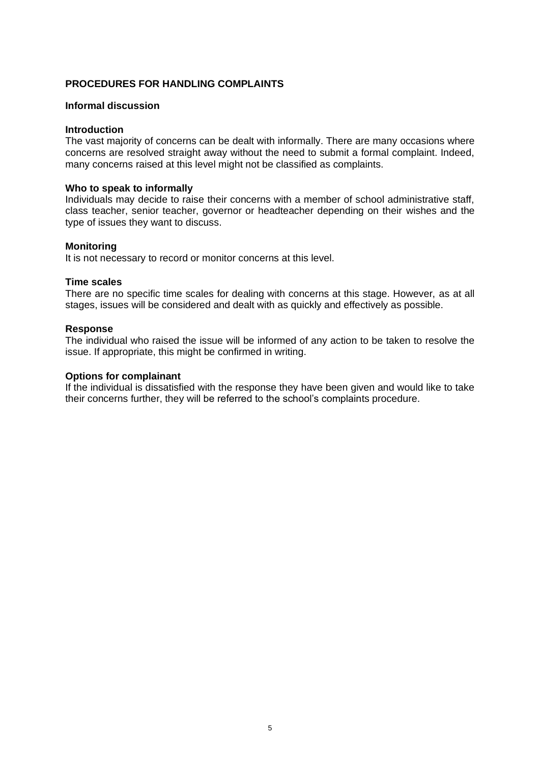## **PROCEDURES FOR HANDLING COMPLAINTS**

## **Informal discussion**

#### **Introduction**

The vast majority of concerns can be dealt with informally. There are many occasions where concerns are resolved straight away without the need to submit a formal complaint. Indeed, many concerns raised at this level might not be classified as complaints.

#### **Who to speak to informally**

Individuals may decide to raise their concerns with a member of school administrative staff, class teacher, senior teacher, governor or headteacher depending on their wishes and the type of issues they want to discuss.

#### **Monitoring**

It is not necessary to record or monitor concerns at this level.

#### **Time scales**

There are no specific time scales for dealing with concerns at this stage. However, as at all stages, issues will be considered and dealt with as quickly and effectively as possible.

#### **Response**

The individual who raised the issue will be informed of any action to be taken to resolve the issue. If appropriate, this might be confirmed in writing.

#### **Options for complainant**

If the individual is dissatisfied with the response they have been given and would like to take their concerns further, they will be referred to the school's complaints procedure.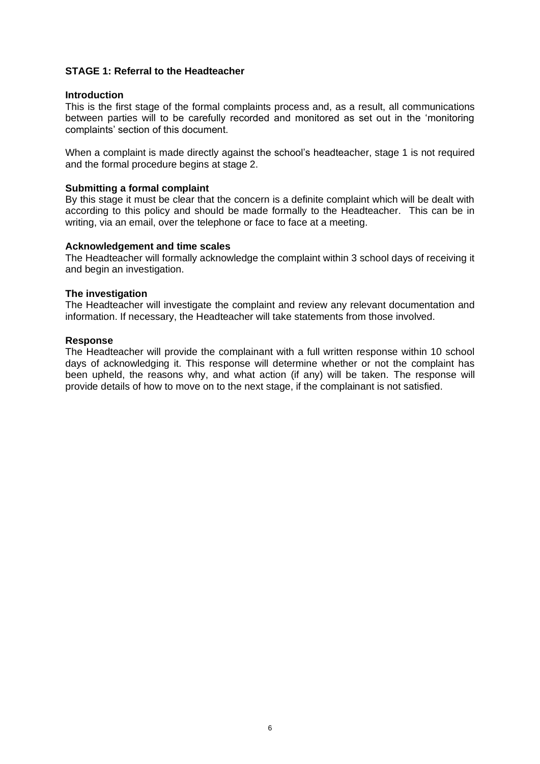## **STAGE 1: Referral to the Headteacher**

## **Introduction**

This is the first stage of the formal complaints process and, as a result, all communications between parties will to be carefully recorded and monitored as set out in the 'monitoring complaints' section of this document.

When a complaint is made directly against the school's headteacher, stage 1 is not required and the formal procedure begins at stage 2.

#### **Submitting a formal complaint**

By this stage it must be clear that the concern is a definite complaint which will be dealt with according to this policy and should be made formally to the Headteacher. This can be in writing, via an email, over the telephone or face to face at a meeting.

#### **Acknowledgement and time scales**

The Headteacher will formally acknowledge the complaint within 3 school days of receiving it and begin an investigation.

## **The investigation**

The Headteacher will investigate the complaint and review any relevant documentation and information. If necessary, the Headteacher will take statements from those involved.

#### **Response**

The Headteacher will provide the complainant with a full written response within 10 school days of acknowledging it. This response will determine whether or not the complaint has been upheld, the reasons why, and what action (if any) will be taken. The response will provide details of how to move on to the next stage, if the complainant is not satisfied.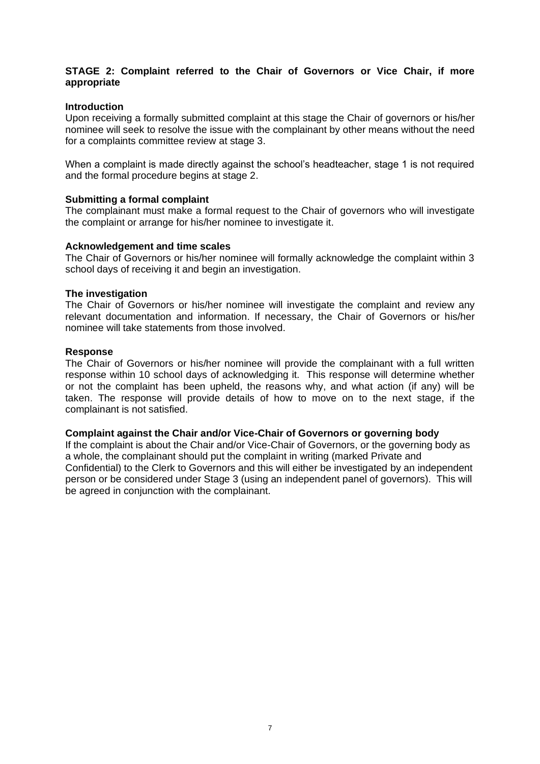## **STAGE 2: Complaint referred to the Chair of Governors or Vice Chair, if more appropriate**

## **Introduction**

Upon receiving a formally submitted complaint at this stage the Chair of governors or his/her nominee will seek to resolve the issue with the complainant by other means without the need for a complaints committee review at stage 3.

When a complaint is made directly against the school's headteacher, stage 1 is not required and the formal procedure begins at stage 2.

## **Submitting a formal complaint**

The complainant must make a formal request to the Chair of governors who will investigate the complaint or arrange for his/her nominee to investigate it.

## **Acknowledgement and time scales**

The Chair of Governors or his/her nominee will formally acknowledge the complaint within 3 school days of receiving it and begin an investigation.

## **The investigation**

The Chair of Governors or his/her nominee will investigate the complaint and review any relevant documentation and information. If necessary, the Chair of Governors or his/her nominee will take statements from those involved.

## **Response**

The Chair of Governors or his/her nominee will provide the complainant with a full written response within 10 school days of acknowledging it. This response will determine whether or not the complaint has been upheld, the reasons why, and what action (if any) will be taken. The response will provide details of how to move on to the next stage, if the complainant is not satisfied.

## **Complaint against the Chair and/or Vice-Chair of Governors or governing body**

If the complaint is about the Chair and/or Vice-Chair of Governors, or the governing body as a whole, the complainant should put the complaint in writing (marked Private and Confidential) to the Clerk to Governors and this will either be investigated by an independent person or be considered under Stage 3 (using an independent panel of governors). This will be agreed in conjunction with the complainant.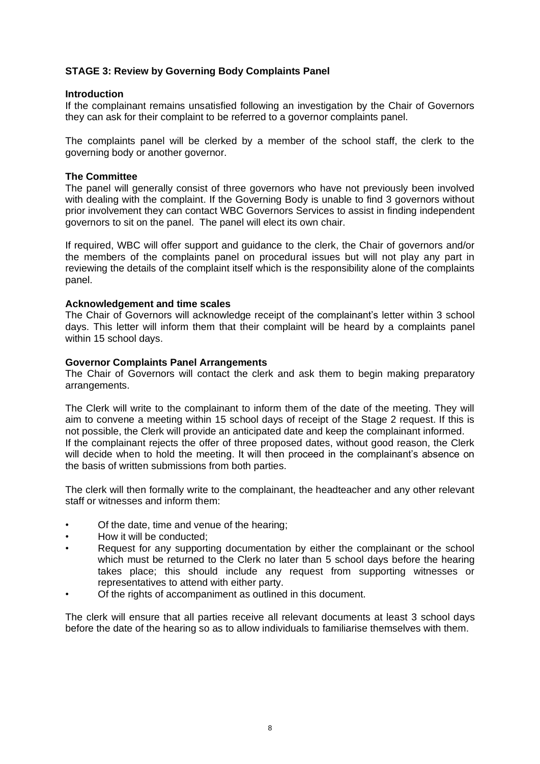## **STAGE 3: Review by Governing Body Complaints Panel**

## **Introduction**

If the complainant remains unsatisfied following an investigation by the Chair of Governors they can ask for their complaint to be referred to a governor complaints panel.

The complaints panel will be clerked by a member of the school staff, the clerk to the governing body or another governor.

## **The Committee**

The panel will generally consist of three governors who have not previously been involved with dealing with the complaint. If the Governing Body is unable to find 3 governors without prior involvement they can contact WBC Governors Services to assist in finding independent governors to sit on the panel. The panel will elect its own chair.

If required, WBC will offer support and guidance to the clerk, the Chair of governors and/or the members of the complaints panel on procedural issues but will not play any part in reviewing the details of the complaint itself which is the responsibility alone of the complaints panel.

## **Acknowledgement and time scales**

The Chair of Governors will acknowledge receipt of the complainant's letter within 3 school days. This letter will inform them that their complaint will be heard by a complaints panel within 15 school days.

## **Governor Complaints Panel Arrangements**

The Chair of Governors will contact the clerk and ask them to begin making preparatory arrangements.

The Clerk will write to the complainant to inform them of the date of the meeting. They will aim to convene a meeting within 15 school days of receipt of the Stage 2 request. If this is not possible, the Clerk will provide an anticipated date and keep the complainant informed. If the complainant rejects the offer of three proposed dates, without good reason, the Clerk will decide when to hold the meeting. It will then proceed in the complainant's absence on the basis of written submissions from both parties.

The clerk will then formally write to the complainant, the headteacher and any other relevant staff or witnesses and inform them:

- Of the date, time and venue of the hearing;
- How it will be conducted;
- Request for any supporting documentation by either the complainant or the school which must be returned to the Clerk no later than 5 school days before the hearing takes place; this should include any request from supporting witnesses or representatives to attend with either party.
- Of the rights of accompaniment as outlined in this document.

The clerk will ensure that all parties receive all relevant documents at least 3 school days before the date of the hearing so as to allow individuals to familiarise themselves with them.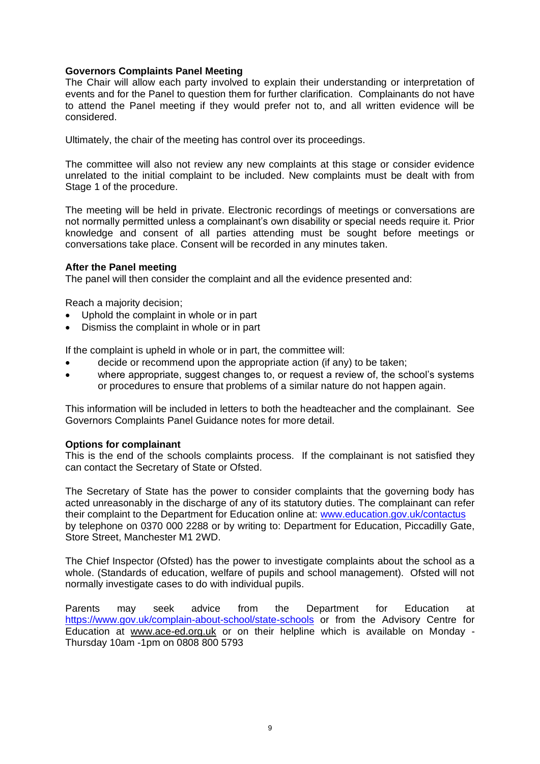## **Governors Complaints Panel Meeting**

The Chair will allow each party involved to explain their understanding or interpretation of events and for the Panel to question them for further clarification. Complainants do not have to attend the Panel meeting if they would prefer not to, and all written evidence will be considered.

Ultimately, the chair of the meeting has control over its proceedings.

The committee will also not review any new complaints at this stage or consider evidence unrelated to the initial complaint to be included. New complaints must be dealt with from Stage 1 of the procedure.

The meeting will be held in private. Electronic recordings of meetings or conversations are not normally permitted unless a complainant's own disability or special needs require it. Prior knowledge and consent of all parties attending must be sought before meetings or conversations take place. Consent will be recorded in any minutes taken.

## **After the Panel meeting**

The panel will then consider the complaint and all the evidence presented and:

Reach a majority decision;

- Uphold the complaint in whole or in part
- Dismiss the complaint in whole or in part

If the complaint is upheld in whole or in part, the committee will:

- decide or recommend upon the appropriate action (if any) to be taken;
- where appropriate, suggest changes to, or request a review of, the school's systems or procedures to ensure that problems of a similar nature do not happen again.

This information will be included in letters to both the headteacher and the complainant. See Governors Complaints Panel Guidance notes for more detail.

## **Options for complainant**

This is the end of the schools complaints process. If the complainant is not satisfied they can contact the Secretary of State or Ofsted.

The Secretary of State has the power to consider complaints that the governing body has acted unreasonably in the discharge of any of its statutory duties. The complainant can refer their complaint to the Department for Education online at: [www.education.gov.uk/contactus](http://www.education.gov.uk/contactus) by telephone on 0370 000 2288 or by writing to: Department for Education, Piccadilly Gate, Store Street, Manchester M1 2WD.

The Chief Inspector (Ofsted) has the power to investigate complaints about the school as a whole. (Standards of education, welfare of pupils and school management). Ofsted will not normally investigate cases to do with individual pupils.

Parents may seek advice from the Department for Education at <https://www.gov.uk/complain-about-school/state-schools> or from the Advisory Centre for Education at [www.ace-ed.org.uk](http://www.ace-ed.org.uk/) or on their helpline which is available on Monday - Thursday 10am -1pm on 0808 800 5793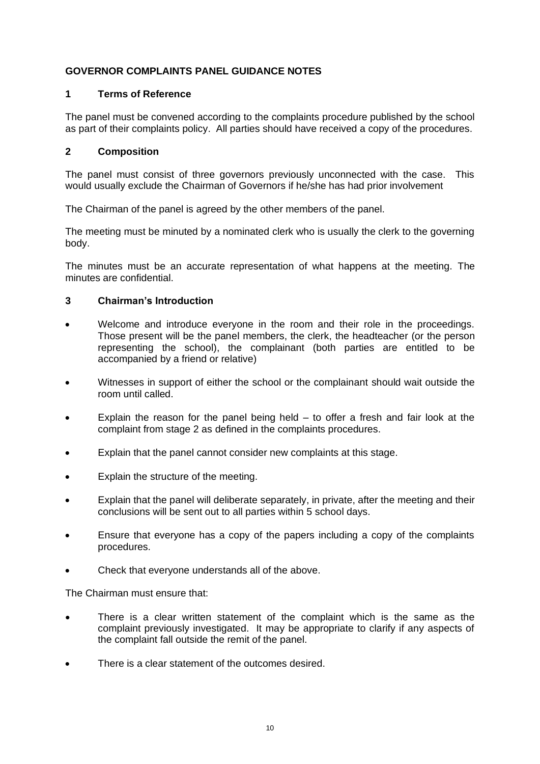# **GOVERNOR COMPLAINTS PANEL GUIDANCE NOTES**

## **1 Terms of Reference**

The panel must be convened according to the complaints procedure published by the school as part of their complaints policy. All parties should have received a copy of the procedures.

## **2 Composition**

The panel must consist of three governors previously unconnected with the case. This would usually exclude the Chairman of Governors if he/she has had prior involvement

The Chairman of the panel is agreed by the other members of the panel.

The meeting must be minuted by a nominated clerk who is usually the clerk to the governing body.

The minutes must be an accurate representation of what happens at the meeting. The minutes are confidential.

# **3 Chairman's Introduction**

- Welcome and introduce everyone in the room and their role in the proceedings. Those present will be the panel members, the clerk, the headteacher (or the person representing the school), the complainant (both parties are entitled to be accompanied by a friend or relative)
- Witnesses in support of either the school or the complainant should wait outside the room until called.
- Explain the reason for the panel being held  $-$  to offer a fresh and fair look at the complaint from stage 2 as defined in the complaints procedures.
- Explain that the panel cannot consider new complaints at this stage.
- Explain the structure of the meeting.
- Explain that the panel will deliberate separately, in private, after the meeting and their conclusions will be sent out to all parties within 5 school days.
- Ensure that everyone has a copy of the papers including a copy of the complaints procedures.
- Check that everyone understands all of the above.

The Chairman must ensure that:

- There is a clear written statement of the complaint which is the same as the complaint previously investigated. It may be appropriate to clarify if any aspects of the complaint fall outside the remit of the panel.
- There is a clear statement of the outcomes desired.